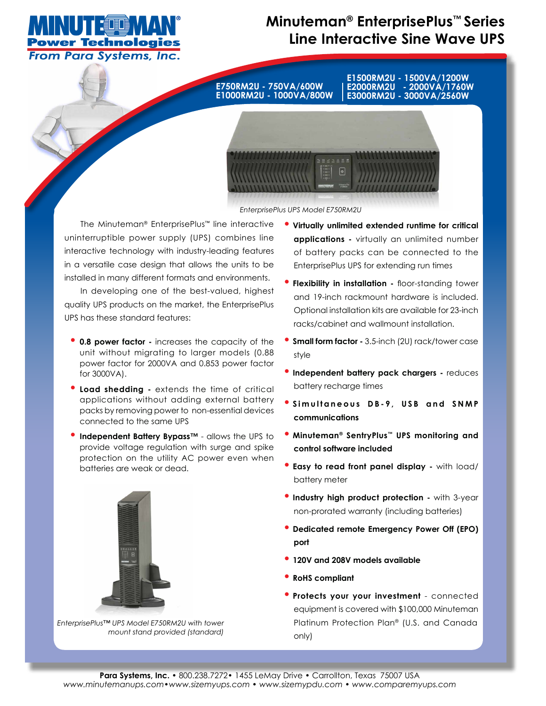

# **Minuteman® EnterprisePlus™ Series Line Interactive Sine Wave UPS**

**E750RM2U - 750VA/600W E1000RM2U - 1000VA/800W** **E1500RM2U - 1500VA/1200W E2000RM2U - 2000VA/1760W E3000RM2U - 3000VA/2560W**



*EnterprisePlus UPS Model E750RM2U*

The Minuteman® EnterprisePlus™ line interactive uninterruptible power supply (UPS) combines line interactive technology with industry-leading features in a versatile case design that allows the units to be installed in many different formats and environments.

In developing one of the best-valued, highest quality UPS products on the market, the EnterprisePlus UPS has these standard features:

- **0.8 power factor -** increases the capacity of the unit without migrating to larger models (0.88 power factor for 2000VA and 0.853 power factor for 3000VA).
- **Load shedding** extends the time of critical applications without adding external battery packs by removing power to non-essential devices connected to the same UPS
- **Independent Battery Bypass™** allows the UPS to provide voltage regulation with surge and spike protection on the utility AC power even when batteries are weak or dead.



*EnterprisePlus™ UPS Model E750RM2U with tower mount stand provided (standard)*

- **Virtually unlimited extended runtime for critical applications -** virtually an unlimited number of battery packs can be connected to the EnterprisePlus UPS for extending run times
- **Flexibility in installation -** floor-standing tower and 19-inch rackmount hardware is included. Optional installation kits are available for 23-inch racks/cabinet and wallmount installation.
- **Small form factor -** 3.5-inch (2U) rack/tower case style
- **Independent battery pack chargers** reduces battery recharge times
- <sup>o</sup> Simultaneous DB-9, USB and SNMP **communications**
- **Minuteman® SentryPlus™ UPS monitoring and control software included**
- **Easy to read front panel display** with load/ battery meter
- **Industry high product protection** with 3-year non-prorated warranty (including batteries)
- **Dedicated remote Emergency Power Off (EPO) port**
- **120V and 208V models available**
- **RoHS compliant**
- **Protects your your investment**  connected equipment is covered with \$100,000 Minuteman Platinum Protection Plan® (U.S. and Canada only)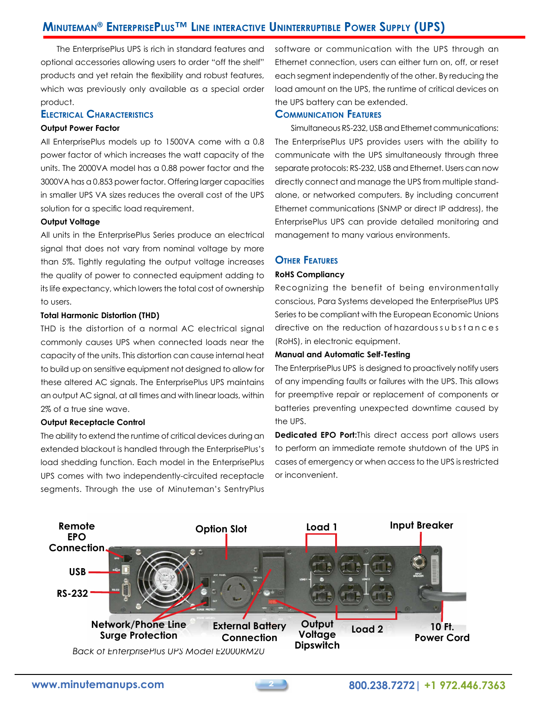# **Minuteman® EnterprisePlus™ Line interactive Uninterruptible Power Supply (UPS)**

The EnterprisePlus UPS is rich in standard features and optional accessories allowing users to order "off the shelf" products and yet retain the flexibility and robust features, which was previously only available as a special order product.

# **Electrical Characteristics**

#### **Output Power Factor**

All EnterprisePlus models up to 1500VA come with a 0.8 power factor of which increases the watt capacity of the units. The 2000VA model has a 0.88 power factor and the 3000VA has a 0.853 power factor. Offering larger capacities in smaller UPS VA sizes reduces the overall cost of the UPS solution for a specific load requirement.

#### **Output Voltage**

All units in the EnterprisePlus Series produce an electrical signal that does not vary from nominal voltage by more than 5%. Tightly regulating the output voltage increases the quality of power to connected equipment adding to its life expectancy, which lowers the total cost of ownership to users.

#### **Total Harmonic Distortion (THD)**

THD is the distortion of a normal AC electrical signal commonly causes UPS when connected loads near the capacity of the units. This distortion can cause internal heat to build up on sensitive equipment not designed to allow for these altered AC signals. The EnterprisePlus UPS maintains an output AC signal, at all times and with linear loads, within 2% of a true sine wave.

#### **Output Receptacle Control**

The ability to extend the runtime of critical devices during an extended blackout is handled through the EnterprisePlus's load shedding function. Each model in the EnterprisePlus UPS comes with two independently-circuited receptacle segments. Through the use of Minuteman's SentryPlus

software or communication with the UPS through an Ethernet connection, users can either turn on, off, or reset each segment independently of the other. By reducing the load amount on the UPS, the runtime of critical devices on the UPS battery can be extended.

# **Communication Features**

Simultaneous RS-232, USB and Ethernet communications: The EnterprisePlus UPS provides users with the ability to communicate with the UPS simultaneously through three separate protocols: RS-232, USB and Ethernet. Users can now directly connect and manage the UPS from multiple standalone, or networked computers. By including concurrent Ethernet communications (SNMP or direct IP address), the EnterprisePlus UPS can provide detailed monitoring and management to many various environments.

# **Other Features**

## **RoHS Compliancy**

Recognizing the benefit of being environmentally conscious, Para Systems developed the EnterprisePlus UPS Series to be compliant with the European Economic Unions directive on the reduction of hazardous substances (RoHS), in electronic equipment.

### **Manual and Automatic Self-Testing**

The EnterprisePlus UPS is designed to proactively notify users of any impending faults or failures with the UPS. This allows for preemptive repair or replacement of components or batteries preventing unexpected downtime caused by the UPS.

**Dedicated EPO Port:**This direct access port allows users to perform an immediate remote shutdown of the UPS in cases of emergency or when access to the UPS is restricted or inconvenient.

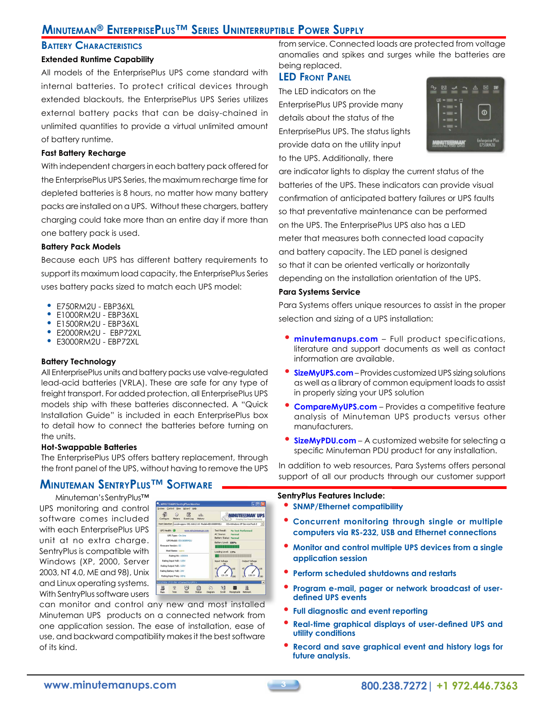# **Minuteman® EnterprisePlus™ Series Uninterruptible Power Supply**

## **Battery Characteristics**

## **Extended Runtime Capability**

All models of the EnterprisePlus UPS come standard with internal batteries. To protect critical devices through extended blackouts, the EnterprisePlus UPS Series utilizes external battery packs that can be daisy-chained in unlimited quantities to provide a virtual unlimited amount of battery runtime.

#### **Fast Battery Recharge**

With independent chargers in each battery pack offered for the EnterprisePlus UPS Series, the maximum recharge time for depleted batteries is 8 hours, no matter how many battery packs are installed on a UPS. Without these chargers, battery charging could take more than an entire day if more than one battery pack is used.

#### **Battery Pack Models**

Because each UPS has different battery requirements to support its maximum load capacity, the EnterprisePlus Series uses battery packs sized to match each UPS model:

- E750RM2U EBP36XL<br>• E1000PM2UL EBP34Y
- E1000RM2U EBP36XL
- E1500RM2U EBP36XL
- E2000RM2U EBP72XL
- E3000RM2U EBP72XL

### **Battery Technology**

All EnterprisePlus units and battery packs use valve-regulated lead-acid batteries (VRLA). These are safe for any type of freight transport. For added protection, all EnterprisePlus UPS models ship with these batteries disconnected. A "Quick Installation Guide" is included in each EnterprisePlus box to detail how to connect the batteries before turning on the units.

### **Hot-Swappable Batteries**

The EnterprisePlus UPS offers battery replacement, through the front panel of the UPS, without having to remove the UPS

# **Minuteman SentryPlus™ Software**

Minuteman's SentryPlus™ UPS monitoring and control software comes included with each EnterprisePlus UPS unit at no extra charge. SentryPlus is compatible with Windows (XP, 2000, Server 2003, NT 4.0, ME and 98), Unix and Linux operating systems. With SentryPlus software users

|                               | Host Selection Local=sppro 192.168.2.10 Model=ED1000RM2U | OS=Windows XP Service Pack 2                                     |                |  |  |
|-------------------------------|----------------------------------------------------------|------------------------------------------------------------------|----------------|--|--|
| <b>LPS Health: @</b>          | www.minutemanups.com                                     | Test Result:<br>No Test Performed<br>AC Source:<br><b>Normal</b> |                |  |  |
| UPS Type: On-Line             |                                                          |                                                                  |                |  |  |
| <b>LIPS Model: FD1000RM2U</b> |                                                          | <b>Battery Status: Normal</b>                                    |                |  |  |
| Firmware Version: 02          |                                                          | Battery Level: 100%                                              |                |  |  |
| Host Name: xporo              |                                                          |                                                                  |                |  |  |
|                               |                                                          | Loading Level: 13%                                               |                |  |  |
| Rating VA: 1000VA             |                                                          | <b>THE REPORT OF LITTLE ST</b>                                   |                |  |  |
| Rating Input Volt: 120V       |                                                          | Input Voltage                                                    | Output Voltage |  |  |
| Rating Output Volt: 120V      |                                                          |                                                                  | 135            |  |  |
| Rating Battery Volt: 24V      |                                                          |                                                                  |                |  |  |
|                               |                                                          | 121.2V                                                           | 120.1V         |  |  |
|                               |                                                          | 45.<br>125<br>45                                                 |                |  |  |

can monitor and control any new and most installed Minuteman UPS products on a connected network from one application session. The ease of installation, ease of use, and backward compatibility makes it the best software of its kind.

from service. Connected loads are protected from voltage anomalies and spikes and surges while the batteries are being replaced.

## **LED Front Panel**

The LED indicators on the EnterprisePlus UPS provide many details about the status of the EnterprisePlus UPS. The status lights provide data on the utility input to the UPS. Additionally, there



are indicator lights to display the current status of the batteries of the UPS. These indicators can provide visual confirmation of anticipated battery failures or UPS faults so that preventative maintenance can be performed on the UPS. The EnterprisePlus UPS also has a LED meter that measures both connected load capacity and battery capacity. The LED panel is designed so that it can be oriented vertically or horizontally depending on the installation orientation of the UPS.

#### **Para Systems Service**

Para Systems offers unique resources to assist in the proper selection and sizing of a UPS installation:

- **minutemanups.com** Full product specifications, literature and support documents as well as contact information are available.
- **SizeMyUPS.com** Provides customized UPS sizing solutions as well as a library of common equipment loads to assist in properly sizing your UPS solution
- **CompareMyUPS.com** Provides a competitive feature analysis of Minuteman UPS products versus other manufacturers.
- **SizeMyPDU.com** A customized website for selecting a specific Minuteman PDU product for any installation.

In addition to web resources, Para Systems offers personal support of all our products through our customer support

#### **SentryPlus Features Include:**

- **SNMP/Ethernet compatibility**
- **Concurrent monitoring through single or multiple computers via RS-232, USB and Ethernet connections**
- **Monitor and control multiple UPS devices from a single application session**
- **Perform scheduled shutdowns and restarts**
- **Program e-mail, pager or network broadcast of userdefined UPS events**
- **Full diagnostic and event reporting**
- **Real-time graphical displays of user-defined UPS and utility conditions**
- **Record and save graphical event and history logs for future analysis.**